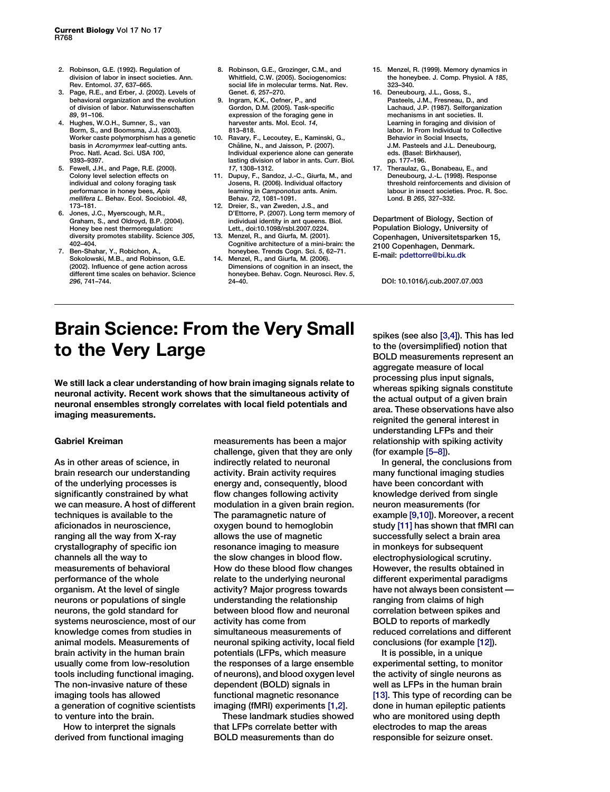- 2. Robinson, G.E. (1992). Regulation of division of labor in insect societies. Ann. Rev. Entomol. 37, 637–665.
- 3. Page, R.E., and Erber, J. (2002). Levels of behavioral organization and the evolution of division of labor. Naturwissenschaften 89, 91–106.
- 4. Hughes, W.O.H., Sumner, S., van Borm, S., and Boomsma, J.J. (2003). Worker caste polymorphism has a genetic basis in Acromyrmex leaf-cutting ants. Proc. Natl. Acad. Sci. USA 100, 9393–9397.
- 5. Fewell, J.H., and Page, R.E. (2000). Colony level selection effects on individual and colony foraging task performance in honey bees, Apis mellifera L. Behav. Ecol. Sociobiol. 48, 173–181.
- 6. Jones, J.C., Myerscough, M.R., Graham, S., and Oldroyd, B.P. (2004). Honey bee nest thermoregulation: diversity promotes stability. Science 305, 402–404.
- 7. Ben-Shahar, Y., Robichon, A., Sokolowski, M.B., and Robinson, G.E. (2002). Influence of gene action across different time scales on behavior. Science 296, 741–744.
- 8. Robinson, G.E., Grozinger, C.M., and Whitfield, C.W. (2005). Sociogenomics: social life in molecular terms. Nat. Rev. Genet. 6, 257–270.
- 9. Ingram, K.K., Oefner, P., and Gordon, D.M. (2005). Task-specific expression of the foraging gene in harvester ants. Mol. Ecol. 14, 813–818.
- 10. Ravary, F., Lecoutey, E., Kaminski, G., Châline, N., and Jaisson, P. (2007). Individual experience alone can generate lasting division of labor in ants. Curr. Biol. 17, 1308–1312.
- 11. Dupuy, F., Sandoz, J.-C., Giurfa, M., and Josens, R. (2006). Individual olfactory learning in Camponotus ants. Anim. Behav. 72, 1081–1091.
- 12. Dreier, S., van Zweden, J.S., and D'Ettorre, P. (2007). Long term memory of individual identity in ant queens. Biol. Lett., doi:10.1098/rsbl.2007.0224.
- 13. Menzel, R., and Giurfa, M. (2001). Cognitive architecture of a mini-brain: the honeybee. Trends Cogn. Sci. 5, 62–71.
- 14. Menzel, R., and Giurfa, M. (2006). Dimensions of cognition in an insect, the honeybee. Behav. Cogn. Neurosci. Rev. 5, 24–40.
- 15. Menzel, R. (1999). Memory dynamics in the honeybee. J. Comp. Physiol. A 185, 323–340.
- 16. Deneubourg, J.L., Goss, S., Pasteels, J.M., Fresneau, D., and Lachaud, J.P. (1987). Selforganization mechanisms in ant societies. II. Learning in foraging and division of labor. In From Individual to Collective Behavior in Social Insects, J.M. Pasteels and J.L. Deneubourg, eds. (Basel: Birkhauser), pp. 177–196.
- 17. Theraulaz, G., Bonabeau, E., and Deneubourg, J.-L. (1998). Response threshold reinforcements and division of labour in insect societies. Proc. R. Soc. Lond. B 265, 327–332.

Department of Biology, Section of Population Biology, University of Copenhagen, Universitetsparken 15, 2100 Copenhagen, Denmark. E-mail: pdettorre@bi.ku.dk

DOI: 10.1016/j.cub.2007.07.003

# Brain Science: From the Very Small to the Very Large

We still lack a clear understanding of how brain imaging signals relate to neuronal activity. Recent work shows that the simultaneous activity of neuronal ensembles strongly correlates with local field potentials and imaging measurements.

## Gabriel Kreiman

As in other areas of science, in brain research our understanding of the underlying processes is significantly constrained by what we can measure. A host of different techniques is available to the aficionados in neuroscience, ranging all the way from X-ray crystallography of specific ion channels all the way to measurements of behavioral performance of the whole organism. At the level of single neurons or populations of single neurons, the gold standard for systems neuroscience, most of our knowledge comes from studies in animal models. Measurements of brain activity in the human brain usually come from low-resolution tools including functional imaging. The non-invasive nature of these imaging tools has allowed a generation of cognitive scientists to venture into the brain.

How to interpret the signals derived from functional imaging measurements has been a major challenge, given that they are only indirectly related to neuronal activity. Brain activity requires energy and, consequently, blood flow changes following activity modulation in a given brain region. The paramagnetic nature of oxygen bound to hemoglobin allows the use of magnetic resonance imaging to measure the slow changes in blood flow. How do these blood flow changes relate to the underlying neuronal activity? Major progress towards understanding the relationship between blood flow and neuronal activity has come from simultaneous measurements of neuronal spiking activity, local field potentials (LFPs, which measure the responses of a large ensemble of neurons), and blood oxygen level dependent (BOLD) signals in functional magnetic resonance imaging (fMRI) experiments [\[1,2\].](#page-1-0)

These landmark studies showed that LFPs correlate better with BOLD measurements than do

spikes (see also [\[3,4\]\)](#page-1-0). This has led to the (oversimplified) notion that BOLD measurements represent an aggregate measure of local processing plus input signals, whereas spiking signals constitute the actual output of a given brain area. These observations have also reignited the general interest in understanding LFPs and their relationship with spiking activity (for example [\[5–8\]](#page-1-0)).

In general, the conclusions from many functional imaging studies have been concordant with knowledge derived from single neuron measurements (for example [\[9,10\]\)](#page-2-0). Moreover, a recent study [\[11\]](#page-2-0) has shown that fMRI can successfully select a brain area in monkeys for subsequent electrophysiological scrutiny. However, the results obtained in different experimental paradigms have not always been consistent ranging from claims of high correlation between spikes and BOLD to reports of markedly reduced correlations and different conclusions (for example [\[12\]\)](#page-2-0).

It is possible, in a unique experimental setting, to monitor the activity of single neurons as well as LFPs in the human brain [\[13\].](#page-2-0) This type of recording can be done in human epileptic patients who are monitored using depth electrodes to map the areas responsible for seizure onset.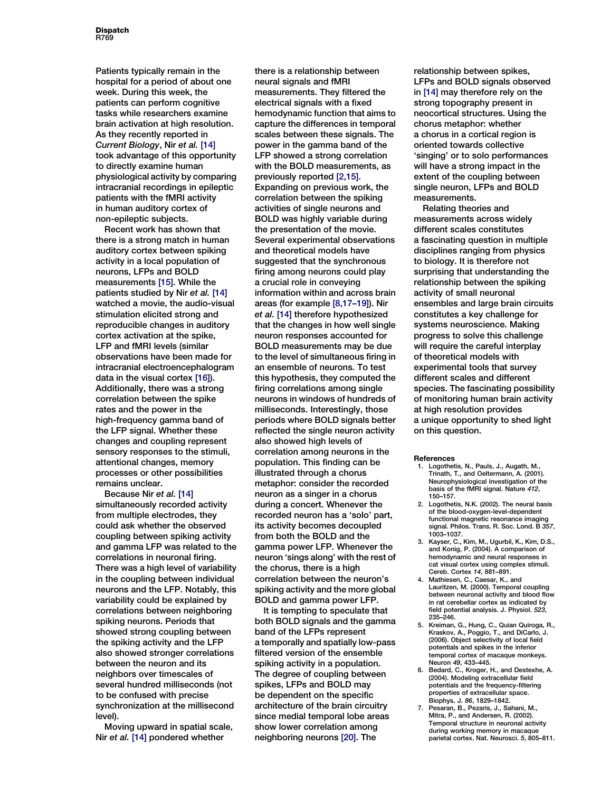<span id="page-1-0"></span>**Dispatch** R769

Patients typically remain in the hospital for a period of about one week. During this week, the patients can perform cognitive tasks while researchers examine brain activation at high resolution. As they recently reported in Current Biology, Nir et al. [\[14\]](#page-2-0) took advantage of this opportunity to directly examine human physiological activity by comparing intracranial recordings in epileptic patients with the fMRI activity in human auditory cortex of non-epileptic subjects.

Recent work has shown that there is a strong match in human auditory cortex between spiking activity in a local population of neurons, LFPs and BOLD measurements [\[15\]](#page-2-0). While the patients studied by Nir et al. [\[14\]](#page-2-0) watched a movie, the audio-visual stimulation elicited strong and reproducible changes in auditory cortex activation at the spike, LFP and fMRI levels (similar observations have been made for intracranial electroencephalogram data in the visual cortex [\[16\]\)](#page-2-0). Additionally, there was a strong correlation between the spike rates and the power in the high-frequency gamma band of the LFP signal. Whether these changes and coupling represent sensory responses to the stimuli, attentional changes, memory processes or other possibilities remains unclear.

Because Nir et al. [\[14\]](#page-2-0) simultaneously recorded activity from multiple electrodes, they could ask whether the observed coupling between spiking activity and gamma LFP was related to the correlations in neuronal firing. There was a high level of variability in the coupling between individual neurons and the LFP. Notably, this variability could be explained by correlations between neighboring spiking neurons. Periods that showed strong coupling between the spiking activity and the LFP also showed stronger correlations between the neuron and its neighbors over timescales of several hundred milliseconds (not to be confused with precise synchronization at the millisecond level).

Moving upward in spatial scale, Nir et al. [\[14\]](#page-2-0) pondered whether

there is a relationship between neural signals and fMRI measurements. They filtered the electrical signals with a fixed hemodynamic function that aims to capture the differences in temporal scales between these signals. The power in the gamma band of the LFP showed a strong correlation with the BOLD measurements, as previously reported [2,15]. Expanding on previous work, the correlation between the spiking activities of single neurons and BOLD was highly variable during the presentation of the movie. Several experimental observations and theoretical models have suggested that the synchronous firing among neurons could play a crucial role in conveying information within and across brain areas (for example [\[8,17–19\]](#page-2-0)). Nir et al. [\[14\]](#page-2-0) therefore hypothesized that the changes in how well single neuron responses accounted for BOLD measurements may be due to the level of simultaneous firing in an ensemble of neurons. To test this hypothesis, they computed the firing correlations among single neurons in windows of hundreds of milliseconds. Interestingly, those periods where BOLD signals better reflected the single neuron activity also showed high levels of correlation among neurons in the population. This finding can be illustrated through a chorus metaphor: consider the recorded neuron as a singer in a chorus during a concert. Whenever the recorded neuron has a 'solo' part, its activity becomes decoupled from both the BOLD and the gamma power LFP. Whenever the neuron 'sings along' with the rest of the chorus, there is a high correlation between the neuron's spiking activity and the more global BOLD and gamma power LFP.

It is tempting to speculate that both BOLD signals and the gamma band of the LFPs represent a temporally and spatially low-pass filtered version of the ensemble spiking activity in a population. The degree of coupling between spikes, LFPs and BOLD may be dependent on the specific architecture of the brain circuitry since medial temporal lobe areas show lower correlation among neighboring neurons [\[20\]](#page-2-0). The

relationship between spikes, LFPs and BOLD signals observed in [\[14\]](#page-2-0) may therefore rely on the strong topography present in neocortical structures. Using the chorus metaphor: whether a chorus in a cortical region is oriented towards collective 'singing' or to solo performances will have a strong impact in the extent of the coupling between single neuron, LFPs and BOLD measurements.

Relating theories and measurements across widely different scales constitutes a fascinating question in multiple disciplines ranging from physics to biology. It is therefore not surprising that understanding the relationship between the spiking activity of small neuronal ensembles and large brain circuits constitutes a key challenge for systems neuroscience. Making progress to solve this challenge will require the careful interplay of theoretical models with experimental tools that survey different scales and different species. The fascinating possibility of monitoring human brain activity at high resolution provides a unique opportunity to shed light on this question.

#### References

- 1. Logothetis, N., Pauls, J., Augath, M. Trinath, T., and Oeltermann, A. (2001). Neurophysiological investigation of the basis of the fMRI signal. Nature 412, 150–157.
- 2. Logothetis, N.K. (2002). The neural basis of the blood-oxygen-level-dependent functional magnetic resonance imaging signal. Philos. Trans. R. Soc. Lond. B 357, 1003–1037.
- 3. Kayser, C., Kim, M., Ugurbil, K., Kim, D.S., and Konig, P. (2004). A comparison of hemodynamic and neural responses in cat visual cortex using complex stimuli. Cereb. Cortex 14, 881–891.
- 4. Mathiesen, C., Caesar, K., and Lauritzen, M. (2000). Temporal coupling between neuronal activity and blood flow in rat cerebellar cortex as indicated by field potential analysis. J. Physiol. 523, 235–246.
- 5. Kreiman, G., Hung, C., Quian Quiroga, R., Kraskov, A., Poggio, T., and DiCarlo, J. (2006). Object selectivity of local field potentials and spikes in the inferior temporal cortex of macaque monkeys. Neuron 49, 433–445.
- 6. Bedard, C., Kroger, H., and Destexhe, A. (2004). Modeling extracellular field potentials and the frequency-filtering properties of extracellular space. Biophys. J. 86, 1829–1842.
- 7. Pesaran, B., Pezaris, J., Sahani, M., Mitra, P., and Andersen, R. (2002). Temporal structure in neuronal activity during working memory in macaque parietal cortex. Nat. Neurosci. 5, 805–811.